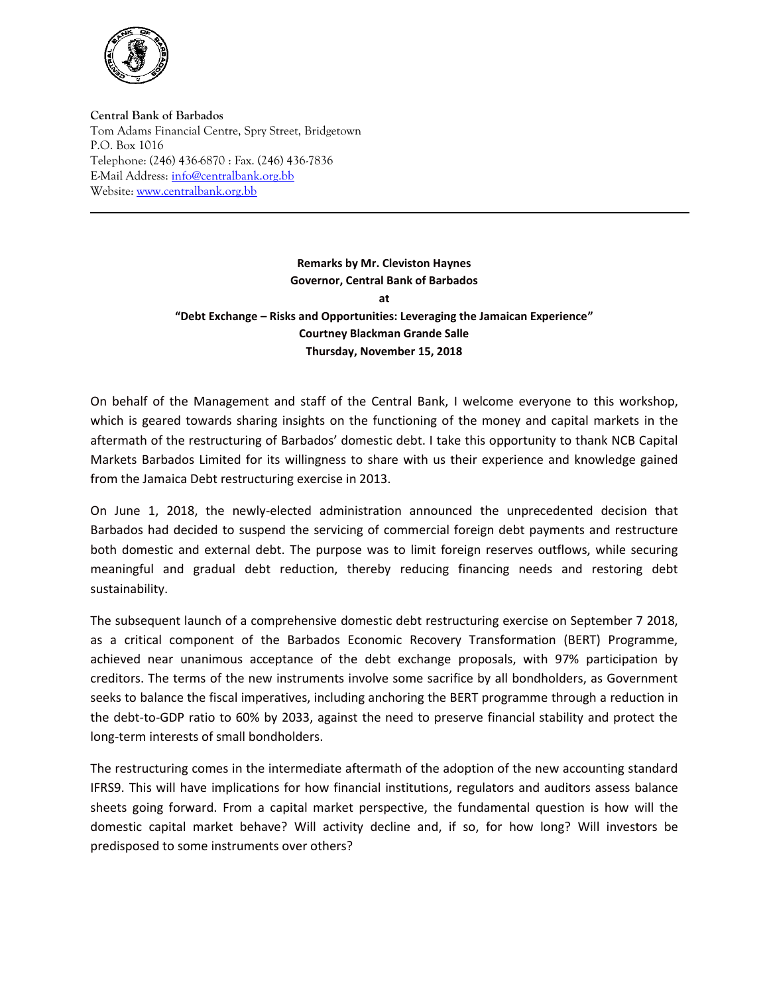

**Central Bank of Barbados** Tom Adams Financial Centre, Spry Street, Bridgetown P.O. Box 1016 Telephone: (246) 436-6870 : Fax. (246) 436-7836 E-Mail Address[: info@centralbank.org.bb](mailto:info@centralbank.org.bb) Website: [www.centralbank.org.bb](http://www.centralbank.org.bb/)

> **Remarks by Mr. Cleviston Haynes Governor, Central Bank of Barbados at "Debt Exchange – Risks and Opportunities: Leveraging the Jamaican Experience" Courtney Blackman Grande Salle Thursday, November 15, 2018**

On behalf of the Management and staff of the Central Bank, I welcome everyone to this workshop, which is geared towards sharing insights on the functioning of the money and capital markets in the aftermath of the restructuring of Barbados' domestic debt. I take this opportunity to thank NCB Capital Markets Barbados Limited for its willingness to share with us their experience and knowledge gained from the Jamaica Debt restructuring exercise in 2013.

On June 1, 2018, the newly-elected administration announced the unprecedented decision that Barbados had decided to suspend the servicing of commercial foreign debt payments and restructure both domestic and external debt. The purpose was to limit foreign reserves outflows, while securing meaningful and gradual debt reduction, thereby reducing financing needs and restoring debt sustainability.

The subsequent launch of a comprehensive domestic debt restructuring exercise on September 7 2018, as a critical component of the Barbados Economic Recovery Transformation (BERT) Programme, achieved near unanimous acceptance of the debt exchange proposals, with 97% participation by creditors. The terms of the new instruments involve some sacrifice by all bondholders, as Government seeks to balance the fiscal imperatives, including anchoring the BERT programme through a reduction in the debt-to-GDP ratio to 60% by 2033, against the need to preserve financial stability and protect the long-term interests of small bondholders.

The restructuring comes in the intermediate aftermath of the adoption of the new accounting standard IFRS9. This will have implications for how financial institutions, regulators and auditors assess balance sheets going forward. From a capital market perspective, the fundamental question is how will the domestic capital market behave? Will activity decline and, if so, for how long? Will investors be predisposed to some instruments over others?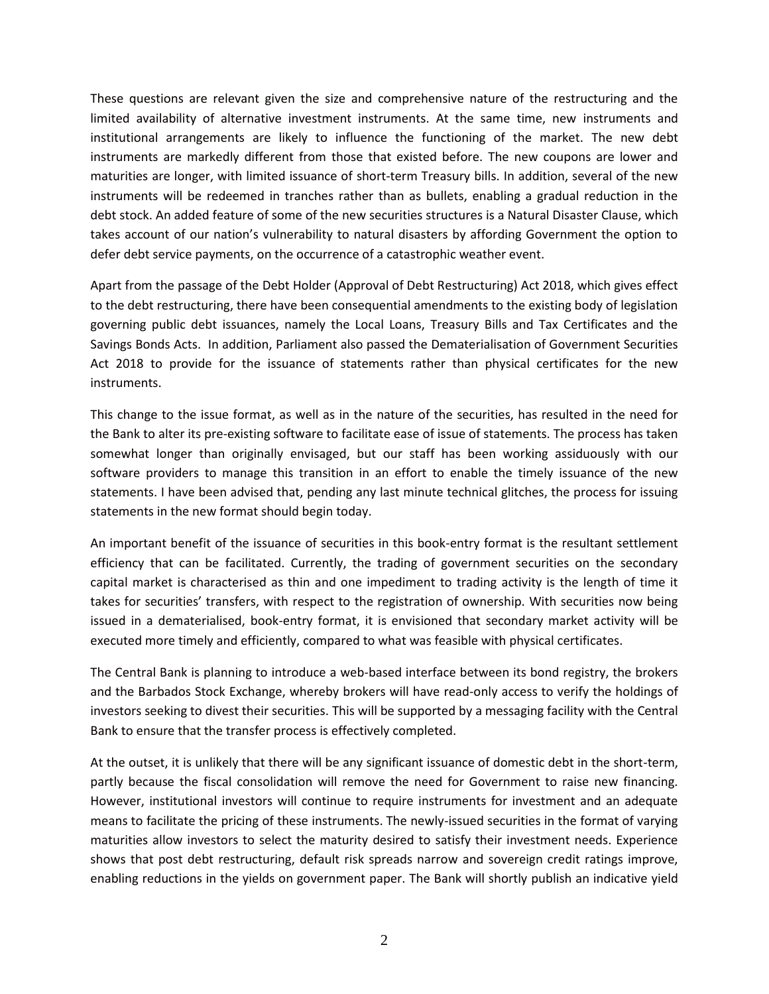These questions are relevant given the size and comprehensive nature of the restructuring and the limited availability of alternative investment instruments. At the same time, new instruments and institutional arrangements are likely to influence the functioning of the market. The new debt instruments are markedly different from those that existed before. The new coupons are lower and maturities are longer, with limited issuance of short-term Treasury bills. In addition, several of the new instruments will be redeemed in tranches rather than as bullets, enabling a gradual reduction in the debt stock. An added feature of some of the new securities structures is a Natural Disaster Clause, which takes account of our nation's vulnerability to natural disasters by affording Government the option to defer debt service payments, on the occurrence of a catastrophic weather event.

Apart from the passage of the Debt Holder (Approval of Debt Restructuring) Act 2018, which gives effect to the debt restructuring, there have been consequential amendments to the existing body of legislation governing public debt issuances, namely the Local Loans, Treasury Bills and Tax Certificates and the Savings Bonds Acts. In addition, Parliament also passed the Dematerialisation of Government Securities Act 2018 to provide for the issuance of statements rather than physical certificates for the new instruments.

This change to the issue format, as well as in the nature of the securities, has resulted in the need for the Bank to alter its pre-existing software to facilitate ease of issue of statements. The process has taken somewhat longer than originally envisaged, but our staff has been working assiduously with our software providers to manage this transition in an effort to enable the timely issuance of the new statements. I have been advised that, pending any last minute technical glitches, the process for issuing statements in the new format should begin today.

An important benefit of the issuance of securities in this book-entry format is the resultant settlement efficiency that can be facilitated. Currently, the trading of government securities on the secondary capital market is characterised as thin and one impediment to trading activity is the length of time it takes for securities' transfers, with respect to the registration of ownership. With securities now being issued in a dematerialised, book-entry format, it is envisioned that secondary market activity will be executed more timely and efficiently, compared to what was feasible with physical certificates.

The Central Bank is planning to introduce a web-based interface between its bond registry, the brokers and the Barbados Stock Exchange, whereby brokers will have read-only access to verify the holdings of investors seeking to divest their securities. This will be supported by a messaging facility with the Central Bank to ensure that the transfer process is effectively completed.

At the outset, it is unlikely that there will be any significant issuance of domestic debt in the short-term, partly because the fiscal consolidation will remove the need for Government to raise new financing. However, institutional investors will continue to require instruments for investment and an adequate means to facilitate the pricing of these instruments. The newly-issued securities in the format of varying maturities allow investors to select the maturity desired to satisfy their investment needs. Experience shows that post debt restructuring, default risk spreads narrow and sovereign credit ratings improve, enabling reductions in the yields on government paper. The Bank will shortly publish an indicative yield